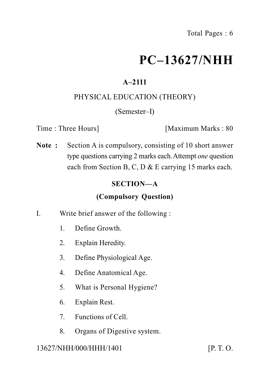# **PC–13627/NHH**

# **A–2111**

# PHYSICAL EDUCATION (THEORY)

# (Semester–I)

Time : Three Hours | [Maximum Marks : 80]

**Note :** Section A is compulsory, consisting of 10 short answer type questions carrying 2 marks each.Attempt *one* question each from Section B, C, D & E carrying 15 marks each.

# **SECTION—A**

# **(Compulsory Question)**

- I. Write brief answer of the following :
	- 1. Define Growth.
	- 2. Explain Heredity.
	- 3. Define Physiological Age.
	- 4. Define Anatomical Age.
	- 5. What is Personal Hygiene?
	- 6. Explain Rest.
	- 7. Functions of Cell.
	- 8. Organs of Digestive system.

# 13627/NHH/000/HHH/1401 [P. T. O.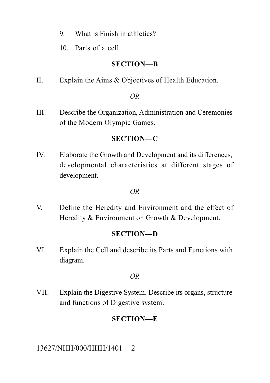- 9. What is Finish in athletics?
- 10. Parts of a cell.

#### **SECTION—B**

II. Explain the Aims & Objectives of Health Education.

#### *OR*

III. Describe the Organization, Administration and Ceremonies of the Modern Olympic Games.

# **SECTION—C**

IV. Elaborate the Growth and Development and its differences, developmental characteristics at different stages of development.

#### *OR*

V. Define the Heredity and Environment and the effect of Heredity & Environment on Growth & Development.

# **SECTION—D**

VI. Explain the Cell and describe its Parts and Functions with diagram.

#### *OR*

VII. Explain the Digestive System. Describe its organs, structure and functions of Digestive system.

# **SECTION—E**

13627/NHH/000/HHH/1401 2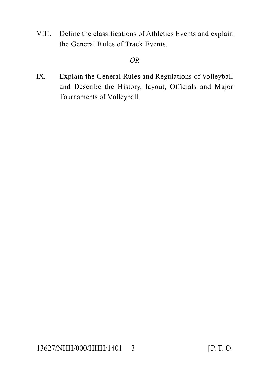VIII. Define the classifications of Athletics Events and explain the General Rules of Track Events.

#### *OR*

IX. Explain the General Rules and Regulations of Volleyball and Describe the History, layout, Officials and Major Tournaments of Volleyball.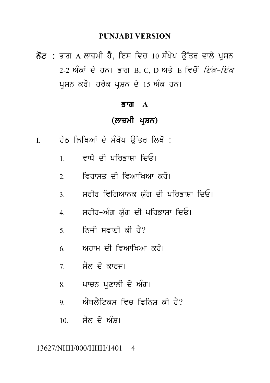#### **PUNJABI VERSION**

 $\overline{\delta z}$  : ਭਾਗ  $\overline{A}$  ਲਾਜ਼ਮੀ ਹੈ, ਇਸ ਵਿਚ 10 ਸੰਖੇਪ ਉੱਤਰ ਵਾਲੇ ਪਸ਼ਨ 2-2 ਅੰਕਾਂ ਦੇ ਹਨ। ਭਾਗ B, C, D ਅਤੇ E ਵਿਚੋਂ *ਇੱਕ-ਇੱਕ* ਪਸ਼ਨ ਕਰੋ। ਹਰੇਕ ਪਸ਼ਨ ਦੇ 15 ਅੰਕ ਹਨ।

#### ਕਾਗ $-\mathbf{A}$

# (ਲਾਜ਼ਮੀ ਪ੍ਰਸ਼ਨ)

- ਹੇਠ ਲਿਖਿਆਂ ਦੇ ਸੰਖੇਪ ਉੱਤਰ ਲਿਖੋ :  $\mathbf{I}$ 
	- ਵਾਧੇ ਦੀ ਪਰਿਕਾਸਾ ਦਿਓ।  $\mathbf{1}$
	- ਵਿਰਾਸਤ ਦੀ ਵਿਆਖਿਆ *ਕ*ਰੋ।  $\overline{2}$
	- ਸਰੀਰ ਵਿਗਿਆਨਕ ਯੱਗ ਦੀ ਪਰਿਭਾਸ਼ਾ ਦਿਓ।  $\mathcal{R}$
	- ਸਰੀਰ-ਅੰਗ ਯੱਗ ਦੀ ਪਰਿਭਾਸ਼ਾ ਦਿਓ।  $\overline{4}$
	- ਨਿਜੀ ਸਫ਼ਾਈ ਕੀ ਹੈ?  $\overline{5}$
	- ਅਰਾਮ ਦੀ ਵਿਆਖਿਆ *ਕ*ਰੋ। 6
	- ਸੈਲ ਦੇ ਕਾਰਜ।  $7<sup>7</sup>$
	- ਪਾਚਨ ਪ੍ਰਣਾਲੀ ਦੇ ਅੰਗ।  $8<sup>7</sup>$
	- ਐਥਲੈਟਿਕਸ ਵਿਚ ਫਿਨਿਸ ਕੀ ਹੈ? 9
	- ਸੈਲ ਦੇ ਅੰਸ।  $10<sup>1</sup>$

#### 13627/NHH/000/HHH/1401  $\overline{\mathcal{A}}$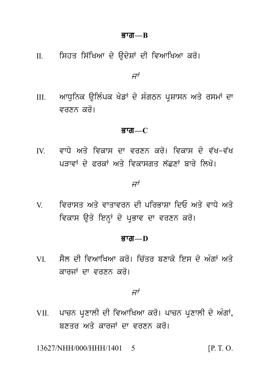#### ਭਾਗ $-R$

II. ਸਿਹਤ ਸਿੱਖਿਆ ਦੇ ਉਦੇਸ਼ਾਂ ਦੀ ਵਿਆਖਿਆ ਕਰੋ।

ਜਾਂ

ਆਧੁਨਿਕ ਉਲਿੰਪਕ ਖੇਡਾਂ ਦੇ ਸੰਗਠਨ ਪ੍ਰਸ਼ਾਸਨ ਅਤੇ ਰਸਮਾਂ ਦਾ  $III.$ ਵਰਣਨ ਕਰੋ।

#### ਭਾਗ $-C$

ਵਾਧੇ ਅਤੇ ਵਿਕਾਸ ਦਾ ਵਰਣਨ ਕਰੋ। ਵਿਕਾਸ ਦੇ ਵੱਖ-ਵੱਖ  $\mathbf{I}$ ਪਤਾਵਾਂ ਦੇ ਫਰਕਾਂ ਅਤੇ ਵਿਕਾਸਗਤ ਲੱਛਣਾਂ ਬਾਰੇ ਲਿਖੋ।

#### ਜਾਂ

ਵਿਰਾਸਤ ਅਤੇ ਵਾਤਾਵਰਨ ਦੀ ਪਰਿਭਾਸ਼ਾ ਦਿਓ ਅਤੇ ਵਾਧੇ ਅਤੇ  $\mathbf V$ ਵਿਕਾਸ ਉਤੇ ਇਨ੍ਹਾਂ ਦੇ ਪਭਾਵ ਦਾ ਵਰਣਨ ਕਰੋ।

#### ਭਾਗ $-D$

ਸੈਲ ਦੀ ਵਿਆਖਿਆ ਕਰੋ। ਚਿੱਤਰ ਬਣਾਕੇ ਇਸ ਦੇ ਅੰਗਾਂ ਅਤੇ VI V ਕਾਰਜਾਂ ਦਾ ਵਰਣਨ ਕਰੋ।

ਜਾਂ

VII. ਪਾਚਨ ਪਣਾਲੀ ਦੀ ਵਿਆਖਿਆ ਕਰੋ। ਪਾਚਨ ਪਣਾਲੀ ਦੇ ਅੰਗਾਂ, ਸਣਤਰ ਅਤੇ ਕਾਰਜਾਂ ਦਾ ਵਰਣਨ ਕਰੋ।

13627/NHH/000/HHH/1401 5  $[P. T. O.$